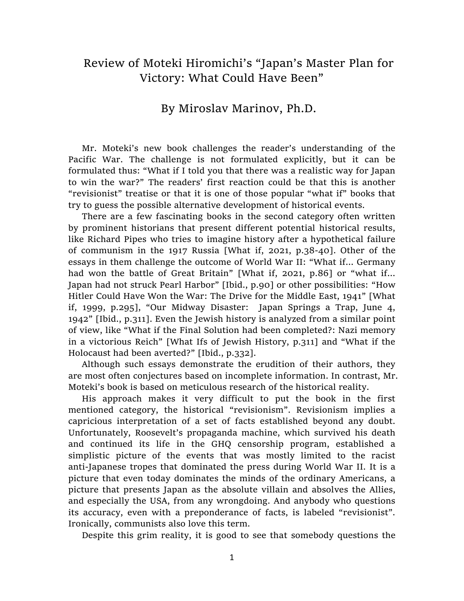## Review of Moteki Hiromichi's "Japan's Master Plan for Victory: What Could Have Been"

## By Miroslav Marinov, Ph.D.

Mr. Moteki's new book challenges the reader's understanding of the Pacific War. The challenge is not formulated explicitly, but it can be formulated thus: "What if I told you that there was a realistic way for Japan to win the war?" The readers' first reaction could be that this is another "revisionist" treatise or that it is one of those popular "what if" books that try to guess the possible alternative development of historical events.

There are a few fascinating books in the second category often written by prominent historians that present different potential historical results, like Richard Pipes who tries to imagine history after a hypothetical failure of communism in the 1917 Russia [What if, 2021, p.38-40]. Other of the essays in them challenge the outcome of World War II: "What if… Germany had won the battle of Great Britain" [What if, 2021, p.86] or "what if… Japan had not struck Pearl Harbor" [Ibid., p.90] or other possibilities: "How Hitler Could Have Won the War: The Drive for the Middle East, 1941" [What if, 1999, p.295], "Our Midway Disaster: Japan Springs a Trap, June 4, 1942" [Ibid., p.311]. Even the Jewish history is analyzed from a similar point of view, like "What if the Final Solution had been completed?: Nazi memory in a victorious Reich" [What Ifs of Jewish History, p.311] and "What if the Holocaust had been averted?" [Ibid., p.332].

Although such essays demonstrate the erudition of their authors, they are most often conjectures based on incomplete information. In contrast, Mr. Moteki's book is based on meticulous research of the historical reality.

His approach makes it very difficult to put the book in the first mentioned category, the historical "revisionism". Revisionism implies a capricious interpretation of a set of facts established beyond any doubt. Unfortunately, Roosevelt's propaganda machine, which survived his death and continued its life in the GHQ censorship program, established a simplistic picture of the events that was mostly limited to the racist anti-Japanese tropes that dominated the press during World War II. It is a picture that even today dominates the minds of the ordinary Americans, a picture that presents Japan as the absolute villain and absolves the Allies, and especially the USA, from any wrongdoing. And anybody who questions its accuracy, even with a preponderance of facts, is labeled "revisionist". Ironically, communists also love this term.

Despite this grim reality, it is good to see that somebody questions the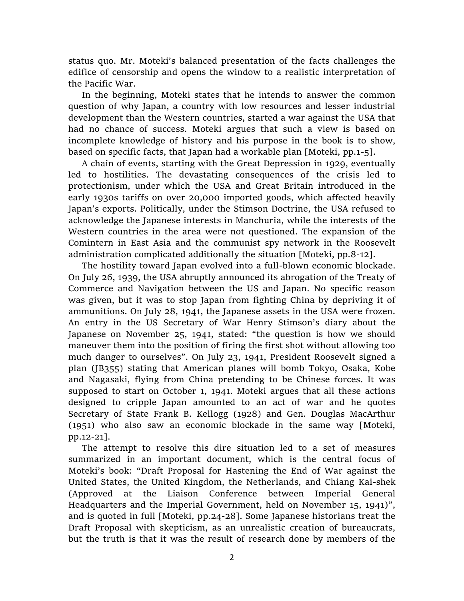status quo. Mr. Moteki's balanced presentation of the facts challenges the edifice of censorship and opens the window to a realistic interpretation of the Pacific War.

In the beginning, Moteki states that he intends to answer the common question of why Japan, a country with low resources and lesser industrial development than the Western countries, started a war against the USA that had no chance of success. Moteki argues that such a view is based on incomplete knowledge of history and his purpose in the book is to show, based on specific facts, that Japan had a workable plan [Moteki, pp.1-5].

A chain of events, starting with the Great Depression in 1929, eventually led to hostilities. The devastating consequences of the crisis led to protectionism, under which the USA and Great Britain introduced in the early 1930s tariffs on over 20,000 imported goods, which affected heavily Japan's exports. Politically, under the Stimson Doctrine, the USA refused to acknowledge the Japanese interests in Manchuria, while the interests of the Western countries in the area were not questioned. The expansion of the Comintern in East Asia and the communist spy network in the Roosevelt administration complicated additionally the situation [Moteki, pp.8-12].

The hostility toward Japan evolved into a full-blown economic blockade. On July 26, 1939, the USA abruptly announced its abrogation of the Treaty of Commerce and Navigation between the US and Japan. No specific reason was given, but it was to stop Japan from fighting China by depriving it of ammunitions. On July 28, 1941, the Japanese assets in the USA were frozen. An entry in the US Secretary of War Henry Stimson's diary about the Japanese on November 25, 1941, stated: "the question is how we should maneuver them into the position of firing the first shot without allowing too much danger to ourselves". On July 23, 1941, President Roosevelt signed a plan (JB355) stating that American planes will bomb Tokyo, Osaka, Kobe and Nagasaki, flying from China pretending to be Chinese forces. It was supposed to start on October 1, 1941. Moteki argues that all these actions designed to cripple Japan amounted to an act of war and he quotes Secretary of State Frank B. Kellogg (1928) and Gen. Douglas MacArthur (1951) who also saw an economic blockade in the same way [Moteki, pp.12-21].

The attempt to resolve this dire situation led to a set of measures summarized in an important document, which is the central focus of Moteki's book: "Draft Proposal for Hastening the End of War against the United States, the United Kingdom, the Netherlands, and Chiang Kai-shek (Approved at the Liaison Conference between Imperial General Headquarters and the Imperial Government, held on November 15, 1941)", and is quoted in full [Moteki, pp.24-28]. Some Japanese historians treat the Draft Proposal with skepticism, as an unrealistic creation of bureaucrats, but the truth is that it was the result of research done by members of the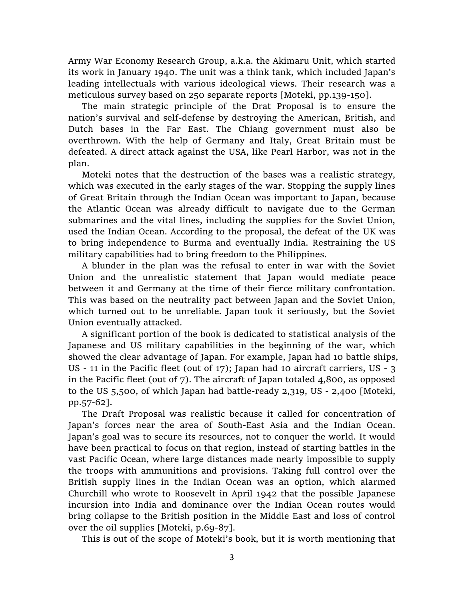Army War Economy Research Group, a.k.a. the Akimaru Unit, which started its work in January 1940. The unit was a think tank, which included Japan's leading intellectuals with various ideological views. Their research was a meticulous survey based on 250 separate reports [Moteki, pp.139-150].

The main strategic principle of the Drat Proposal is to ensure the nation's survival and self-defense by destroying the American, British, and Dutch bases in the Far East. The Chiang government must also be overthrown. With the help of Germany and Italy, Great Britain must be defeated. A direct attack against the USA, like Pearl Harbor, was not in the plan.

Moteki notes that the destruction of the bases was a realistic strategy, which was executed in the early stages of the war. Stopping the supply lines of Great Britain through the Indian Ocean was important to Japan, because the Atlantic Ocean was already difficult to navigate due to the German submarines and the vital lines, including the supplies for the Soviet Union, used the Indian Ocean. According to the proposal, the defeat of the UK was to bring independence to Burma and eventually India. Restraining the US military capabilities had to bring freedom to the Philippines.

A blunder in the plan was the refusal to enter in war with the Soviet Union and the unrealistic statement that Japan would mediate peace between it and Germany at the time of their fierce military confrontation. This was based on the neutrality pact between Japan and the Soviet Union, which turned out to be unreliable. Japan took it seriously, but the Soviet Union eventually attacked.

A significant portion of the book is dedicated to statistical analysis of the Japanese and US military capabilities in the beginning of the war, which showed the clear advantage of Japan. For example, Japan had 10 battle ships, US - 11 in the Pacific fleet (out of 17); Japan had 10 aircraft carriers, US - 3 in the Pacific fleet (out of 7). The aircraft of Japan totaled 4,800, as opposed to the US 5,500, of which Japan had battle-ready 2,319, US - 2,400 [Moteki, pp.57-62].

The Draft Proposal was realistic because it called for concentration of Japan's forces near the area of South-East Asia and the Indian Ocean. Japan's goal was to secure its resources, not to conquer the world. It would have been practical to focus on that region, instead of starting battles in the vast Pacific Ocean, where large distances made nearly impossible to supply the troops with ammunitions and provisions. Taking full control over the British supply lines in the Indian Ocean was an option, which alarmed Churchill who wrote to Roosevelt in April 1942 that the possible Japanese incursion into India and dominance over the Indian Ocean routes would bring collapse to the British position in the Middle East and loss of control over the oil supplies [Moteki, p.69-87].

This is out of the scope of Moteki's book, but it is worth mentioning that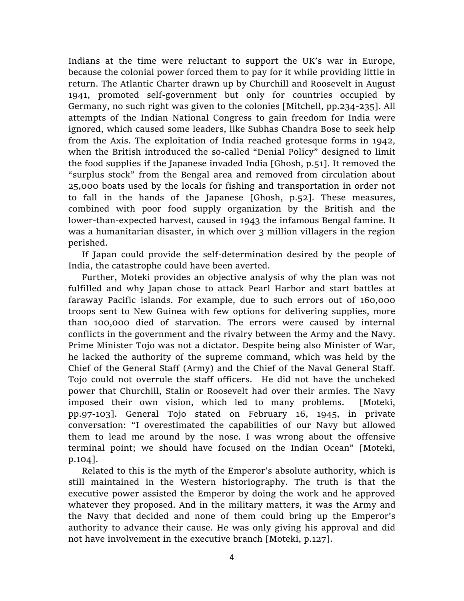Indians at the time were reluctant to support the UK's war in Europe, because the colonial power forced them to pay for it while providing little in return. The Atlantic Charter drawn up by Churchill and Roosevelt in August 1941, promoted self-government but only for countries occupied by Germany, no such right was given to the colonies [Mitchell, pp.234-235]. All attempts of the Indian National Congress to gain freedom for India were ignored, which caused some leaders, like Subhas Chandra Bose to seek help from the Axis. The exploitation of India reached grotesque forms in 1942, when the British introduced the so-called "Denial Policy" designed to limit the food supplies if the Japanese invaded India [Ghosh, p.51]. It removed the "surplus stock" from the Bengal area and removed from circulation about 25,000 boats used by the locals for fishing and transportation in order not to fall in the hands of the Japanese [Ghosh, p.52]. These measures, combined with poor food supply organization by the British and the lower-than-expected harvest, caused in 1943 the infamous Bengal famine. It was a humanitarian disaster, in which over 3 million villagers in the region perished.

If Japan could provide the self-determination desired by the people of India, the catastrophe could have been averted.

Further, Moteki provides an objective analysis of why the plan was not fulfilled and why Japan chose to attack Pearl Harbor and start battles at faraway Pacific islands. For example, due to such errors out of 160,000 troops sent to New Guinea with few options for delivering supplies, more than 100,000 died of starvation. The errors were caused by internal conflicts in the government and the rivalry between the Army and the Navy. Prime Minister Tojo was not a dictator. Despite being also Minister of War, he lacked the authority of the supreme command, which was held by the Chief of the General Staff (Army) and the Chief of the Naval General Staff. Tojo could not overrule the staff officers. He did not have the uncheked power that Churchill, Stalin or Roosevelt had over their armies. The Navy imposed their own vision, which led to many problems. [Moteki, pp.97-103]. General Tojo stated on February 16, 1945, in private conversation: "I overestimated the capabilities of our Navy but allowed them to lead me around by the nose. I was wrong about the offensive terminal point; we should have focused on the Indian Ocean" [Moteki, p.104].

Related to this is the myth of the Emperor's absolute authority, which is still maintained in the Western historiography. The truth is that the executive power assisted the Emperor by doing the work and he approved whatever they proposed. And in the military matters, it was the Army and the Navy that decided and none of them could bring up the Emperor's authority to advance their cause. He was only giving his approval and did not have involvement in the executive branch [Moteki, p.127].